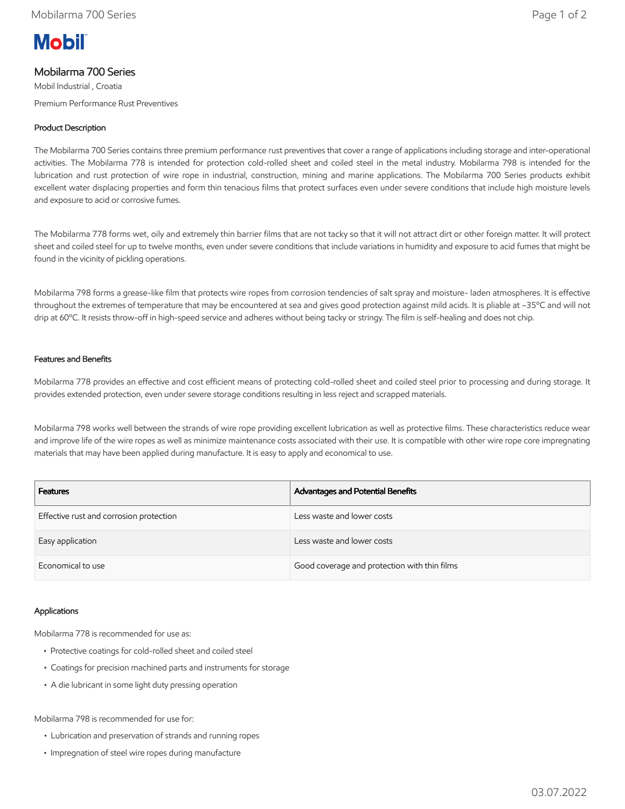# **Mobil**

## Mobilarma 700 Series

Mobil Industrial , Croatia Premium Performance Rust Preventives

### Product Description

The Mobilarma 700 Series contains three premium performance rust preventives that cover a range of applications including storage and inter-operational activities. The Mobilarma 778 is intended for protection cold-rolled sheet and coiled steel in the metal industry. Mobilarma 798 is intended for the lubrication and rust protection of wire rope in industrial, construction, mining and marine applications. The Mobilarma 700 Series products exhibit excellent water displacing properties and form thin tenacious films that protect surfaces even under severe conditions that include high moisture levels and exposure to acid or corrosive fumes.

The Mobilarma 778 forms wet, oily and extremely thin barrier films that are not tacky so that it will not attract dirt or other foreign matter. It will protect sheet and coiled steel for up to twelve months, even under severe conditions that include variations in humidity and exposure to acid fumes that might be found in the vicinity of pickling operations.

Mobilarma 798 forms a grease-like film that protects wire ropes from corrosion tendencies of salt spray and moisture- laden atmospheres. It is effective throughout the extremes of temperature that may be encountered at sea and gives good protection against mild acids. It is pliable at –35ºC and will not drip at 60ºC. It resists throw-off in high-speed service and adheres without being tacky or stringy. The film is self-healing and does not chip.

#### Features and Benefits

Mobilarma 778 provides an effective and cost efficient means of protecting cold-rolled sheet and coiled steel prior to processing and during storage. It provides extended protection, even under severe storage conditions resulting in less reject and scrapped materials.

Mobilarma 798 works well between the strands of wire rope providing excellent lubrication as well as protective films. These characteristics reduce wear and improve life of the wire ropes as well as minimize maintenance costs associated with their use. It is compatible with other wire rope core impregnating materials that may have been applied during manufacture. It is easy to apply and economical to use.

| <b>Features</b>                         | Advantages and Potential Benefits            |
|-----------------------------------------|----------------------------------------------|
| Effective rust and corrosion protection | Less waste and lower costs                   |
| Easy application                        | Less waste and lower costs                   |
| Economical to use                       | Good coverage and protection with thin films |

#### Applications

Mobilarma 778 is recommended for use as:

- Protective coatings for cold-rolled sheet and coiled steel
- Coatings for precision machined parts and instruments for storage
- A die lubricant in some light duty pressing operation

Mobilarma 798 is recommended for use for:

- Lubrication and preservation of strands and running ropes
- Impregnation of steel wire ropes during manufacture